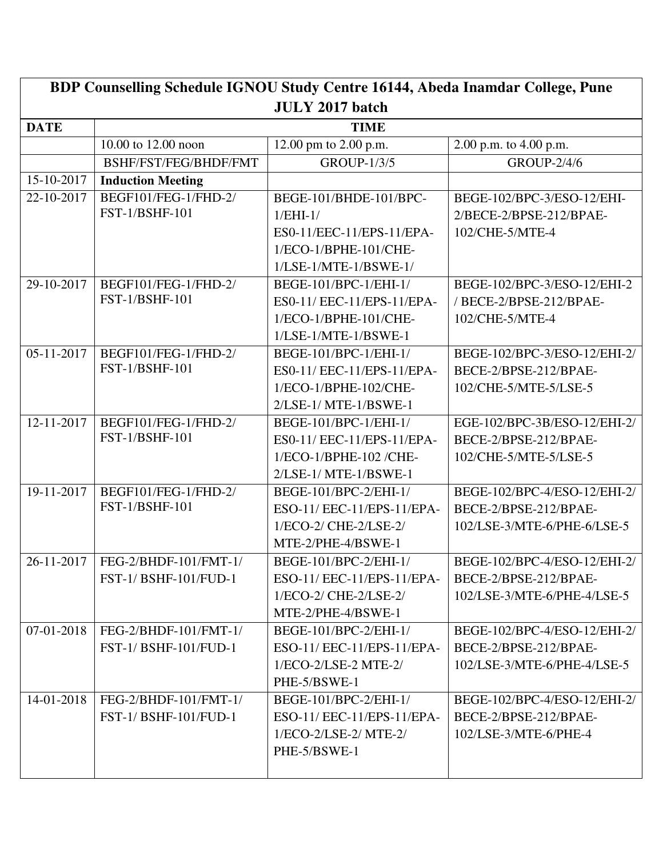| BDP Counselling Schedule IGNOU Study Centre 16144, Abeda Inamdar College, Pune |                                    |                            |                              |  |
|--------------------------------------------------------------------------------|------------------------------------|----------------------------|------------------------------|--|
| <b>JULY 2017 batch</b>                                                         |                                    |                            |                              |  |
| <b>DATE</b>                                                                    | <b>TIME</b>                        |                            |                              |  |
|                                                                                | 10.00 to 12.00 noon                | 12.00 pm to 2.00 p.m.      | 2.00 p.m. to 4.00 p.m.       |  |
|                                                                                | BSHF/FST/FEG/BHDF/FMT              | <b>GROUP-1/3/5</b>         | <b>GROUP-2/4/6</b>           |  |
| 15-10-2017                                                                     | <b>Induction Meeting</b>           |                            |                              |  |
| 22-10-2017                                                                     | BEGF101/FEG-1/FHD-2/               | BEGE-101/BHDE-101/BPC-     | BEGE-102/BPC-3/ESO-12/EHI-   |  |
|                                                                                | FST-1/BSHF-101                     | $1/EHI-1/$                 | 2/BECE-2/BPSE-212/BPAE-      |  |
|                                                                                |                                    | ES0-11/EEC-11/EPS-11/EPA-  | 102/CHE-5/MTE-4              |  |
|                                                                                |                                    | 1/ECO-1/BPHE-101/CHE-      |                              |  |
|                                                                                |                                    | $1/LSE-1/MTE-1/BSWE-1/$    |                              |  |
| 29-10-2017                                                                     | BEGF101/FEG-1/FHD-2/               | BEGE-101/BPC-1/EHI-1/      | BEGE-102/BPC-3/ESO-12/EHI-2  |  |
|                                                                                | <b>FST-1/BSHF-101</b>              | ES0-11/ EEC-11/EPS-11/EPA- | / BECE-2/BPSE-212/BPAE-      |  |
|                                                                                |                                    | 1/ECO-1/BPHE-101/CHE-      | 102/CHE-5/MTE-4              |  |
|                                                                                |                                    | $1/LSE-1/MTE-1/BSWE-1$     |                              |  |
| $05-11-2017$                                                                   | BEGF101/FEG-1/FHD-2/               | BEGE-101/BPC-1/EHI-1/      | BEGE-102/BPC-3/ESO-12/EHI-2/ |  |
|                                                                                | FST-1/BSHF-101                     | ES0-11/ EEC-11/EPS-11/EPA- | BECE-2/BPSE-212/BPAE-        |  |
|                                                                                |                                    | 1/ECO-1/BPHE-102/CHE-      | 102/CHE-5/MTE-5/LSE-5        |  |
|                                                                                |                                    | 2/LSE-1/ MTE-1/BSWE-1      |                              |  |
| 12-11-2017                                                                     | BEGF101/FEG-1/FHD-2/               | BEGE-101/BPC-1/EHI-1/      | EGE-102/BPC-3B/ESO-12/EHI-2/ |  |
|                                                                                | FST-1/BSHF-101                     | ES0-11/ EEC-11/EPS-11/EPA- | BECE-2/BPSE-212/BPAE-        |  |
|                                                                                |                                    | 1/ECO-1/BPHE-102 /CHE-     | 102/CHE-5/MTE-5/LSE-5        |  |
|                                                                                |                                    | $2/LSE-1/MTE-1/BSWE-1$     |                              |  |
| 19-11-2017                                                                     | BEGF101/FEG-1/FHD-2/               | BEGE-101/BPC-2/EHI-1/      | BEGE-102/BPC-4/ESO-12/EHI-2/ |  |
|                                                                                | <b>FST-1/BSHF-101</b>              | ESO-11/ EEC-11/EPS-11/EPA- | BECE-2/BPSE-212/BPAE-        |  |
|                                                                                |                                    | 1/ECO-2/ CHE-2/LSE-2/      | 102/LSE-3/MTE-6/PHE-6/LSE-5  |  |
|                                                                                |                                    | MTE-2/PHE-4/BSWE-1         |                              |  |
|                                                                                | 26-11-2017   FEG-2/BHDF-101/FMT-1/ | BEGE-101/BPC-2/EHI-1/      | BEGE-102/BPC-4/ESO-12/EHI-2/ |  |
|                                                                                | <b>FST-1/ BSHF-101/FUD-1</b>       | ESO-11/ EEC-11/EPS-11/EPA- | BECE-2/BPSE-212/BPAE-        |  |
|                                                                                |                                    | $1/ECO-2/CHE-2/LSE-2/$     | 102/LSE-3/MTE-6/PHE-4/LSE-5  |  |
|                                                                                |                                    | MTE-2/PHE-4/BSWE-1         |                              |  |
| 07-01-2018                                                                     | FEG-2/BHDF-101/FMT-1/              | BEGE-101/BPC-2/EHI-1/      | BEGE-102/BPC-4/ESO-12/EHI-2/ |  |
|                                                                                | FST-1/BSHF-101/FUD-1               | ESO-11/ EEC-11/EPS-11/EPA- | BECE-2/BPSE-212/BPAE-        |  |
|                                                                                |                                    | $1/ECO-2/LSE-2$ MTE-2/     | 102/LSE-3/MTE-6/PHE-4/LSE-5  |  |
|                                                                                |                                    | PHE-5/BSWE-1               |                              |  |
| 14-01-2018                                                                     | FEG-2/BHDF-101/FMT-1/              | BEGE-101/BPC-2/EHI-1/      | BEGE-102/BPC-4/ESO-12/EHI-2/ |  |
|                                                                                | <b>FST-1/BSHF-101/FUD-1</b>        | ESO-11/ EEC-11/EPS-11/EPA- | BECE-2/BPSE-212/BPAE-        |  |
|                                                                                |                                    | $1/ECO-2/LSE-2/MTE-2/$     | 102/LSE-3/MTE-6/PHE-4        |  |
|                                                                                |                                    | PHE-5/BSWE-1               |                              |  |
|                                                                                |                                    |                            |                              |  |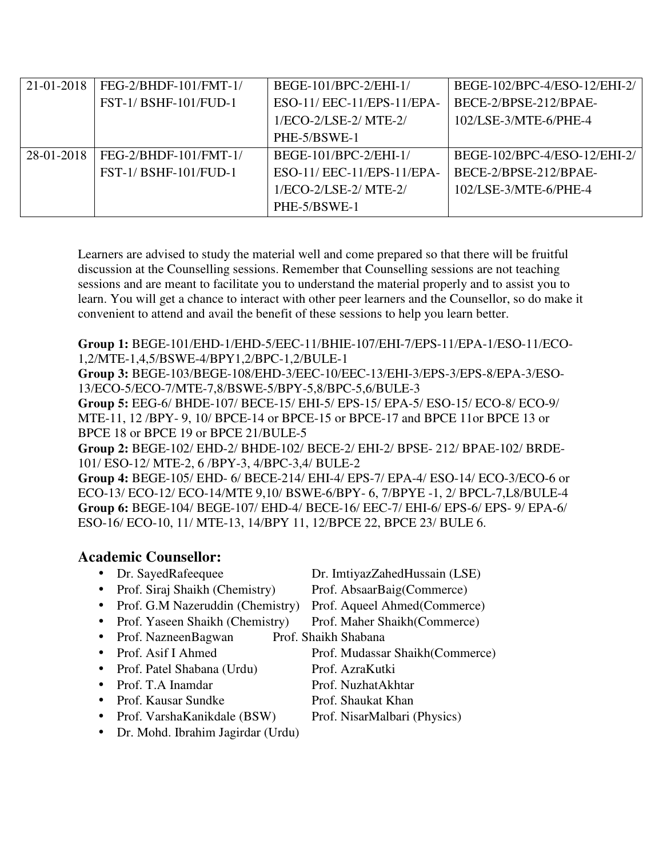| 21-01-2018 | FEG-2/BHDF-101/FMT-1/       | BEGE-101/BPC-2/EHI-1/     | BEGE-102/BPC-4/ESO-12/EHI-2/ |
|------------|-----------------------------|---------------------------|------------------------------|
|            | <b>FST-1/BSHF-101/FUD-1</b> | ESO-11/EEC-11/EPS-11/EPA- | BECE-2/BPSE-212/BPAE-        |
|            |                             | $1/ECO-2/LSE-2/MTE-2/$    | $102$ /LSE-3/MTE-6/PHE-4     |
|            |                             | PHE-5/BSWE-1              |                              |
| 28-01-2018 | FEG-2/BHDF-101/FMT-1/       | BEGE-101/BPC-2/EHI-1/     | BEGE-102/BPC-4/ESO-12/EHI-2/ |
|            | <b>FST-1/BSHF-101/FUD-1</b> | ESO-11/EEC-11/EPS-11/EPA- | BECE-2/BPSE-212/BPAE-        |
|            |                             | $1/ECO-2/LSE-2/MTE-2/$    | $102$ /LSE-3/MTE-6/PHE-4     |
|            |                             | PHE-5/BSWE-1              |                              |

**Group 1:** BEGE-101/EHD-1/EHD-5/EEC-11/BHIE-107/EHI-7/EPS-11/EPA-1/ESO-11/ECO-1,2/MTE-1,4,5/BSWE-4/BPY1,2/BPC-1,2/BULE-1

**Group 3:** BEGE-103/BEGE-108/EHD-3/EEC-10/EEC-13/EHI-3/EPS-3/EPS-8/EPA-3/ESO-13/ECO-5/ECO-7/MTE-7,8/BSWE-5/BPY-5,8/BPC-5,6/BULE-3

**Group 5:** EEG-6/ BHDE-107/ BECE-15/ EHI-5/ EPS-15/ EPA-5/ ESO-15/ ECO-8/ ECO-9/ MTE-11, 12 /BPY- 9, 10/ BPCE-14 or BPCE-15 or BPCE-17 and BPCE 11or BPCE 13 or BPCE 18 or BPCE 19 or BPCE 21/BULE-5

**Group 2:** BEGE-102/ EHD-2/ BHDE-102/ BECE-2/ EHI-2/ BPSE- 212/ BPAE-102/ BRDE-101/ ESO-12/ MTE-2, 6 /BPY-3, 4/BPC-3,4/ BULE-2

**Group 4:** BEGE-105/ EHD- 6/ BECE-214/ EHI-4/ EPS-7/ EPA-4/ ESO-14/ ECO-3/ECO-6 or ECO-13/ ECO-12/ ECO-14/MTE 9,10/ BSWE-6/BPY- 6, 7/BPYE -1, 2/ BPCL-7,L8/BULE-4 **Group 6:** BEGE-104/ BEGE-107/ EHD-4/ BECE-16/ EEC-7/ EHI-6/ EPS-6/ EPS- 9/ EPA-6/ ESO-16/ ECO-10, 11/ MTE-13, 14/BPY 11, 12/BPCE 22, BPCE 23/ BULE 6.

## **Academic Counsellor:**

- 
- Prof. Siraj Shaikh (Chemistry) Prof. AbsaarBaig(Commerce)
- Prof. G.M Nazeruddin (Chemistry) Prof. Aqueel Ahmed(Commerce)
- Prof. Yaseen Shaikh (Chemistry) Prof. Maher Shaikh (Commerce)
- Prof. NazneenBagwan Prof. Shaikh Shabana
- 
- Prof. Patel Shabana (Urdu) Prof. AzraKutki
- Prof. T.A Inamdar Prof. NuzhatAkhtar
- Prof. Kausar Sundke Prof. Shaukat Khan
- Prof. VarshaKanikdale (BSW) Prof. NisarMalbari (Physics)
- Dr. Mohd. Ibrahim Jagirdar (Urdu)

• Dr. SayedRafeequee Dr. ImtiyazZahedHussain (LSE)

- 
- 
- 
- 
- Prof. Asif I Ahmed Prof. Mudassar Shaikh(Commerce)
	-
	-
	-
	-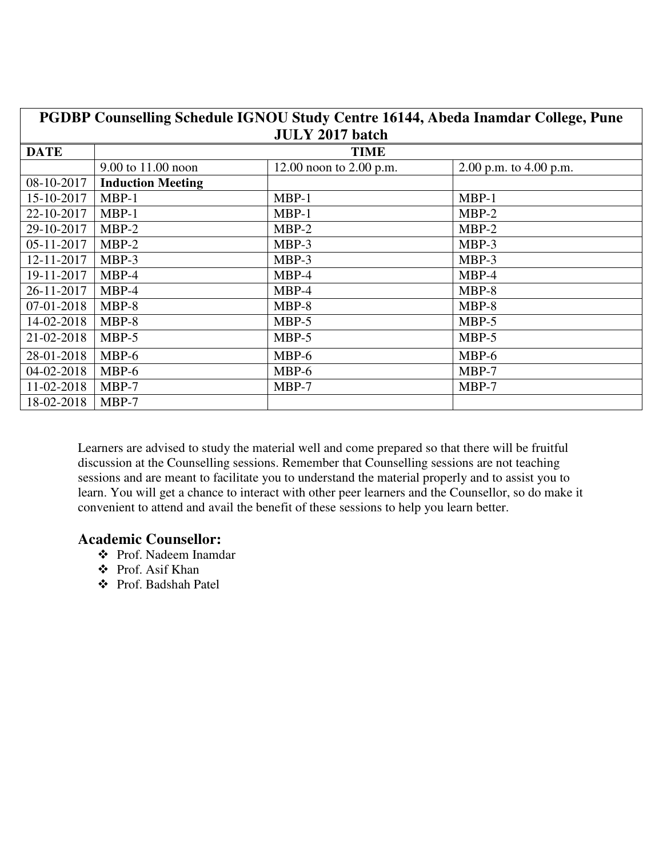| PGDBP Counselling Schedule IGNOU Study Centre 16144, Abeda Inamdar College, Pune<br><b>JULY 2017 batch</b> |                          |                           |                          |  |
|------------------------------------------------------------------------------------------------------------|--------------------------|---------------------------|--------------------------|--|
| <b>DATE</b>                                                                                                | <b>TIME</b>              |                           |                          |  |
|                                                                                                            | 9.00 to 11.00 noon       | 12.00 noon to $2.00$ p.m. | 2.00 p.m. to $4.00$ p.m. |  |
| 08-10-2017                                                                                                 | <b>Induction Meeting</b> |                           |                          |  |
| 15-10-2017                                                                                                 | $MBP-1$                  | $MBP-1$                   | $MBP-1$                  |  |
| 22-10-2017                                                                                                 | $MBP-1$                  | $MBP-1$                   | $MBP-2$                  |  |
| 29-10-2017                                                                                                 | $MBP-2$                  | $MBP-2$                   | $MBP-2$                  |  |
| 05-11-2017                                                                                                 | $MBP-2$                  | MBP-3                     | MBP-3                    |  |
| 12-11-2017                                                                                                 | MBP-3                    | MBP-3                     | MBP-3                    |  |
| 19-11-2017                                                                                                 | MBP-4                    | MBP-4                     | MBP-4                    |  |
| 26-11-2017                                                                                                 | MBP-4                    | $MBP-4$                   | MBP-8                    |  |
| 07-01-2018                                                                                                 | $MBP-8$                  | MBP-8                     | $MBP-8$                  |  |
| 14-02-2018                                                                                                 | MBP-8                    | MBP-5                     | MBP-5                    |  |
| 21-02-2018                                                                                                 | $MBP-5$                  | MBP-5                     | MBP-5                    |  |
| 28-01-2018                                                                                                 | $MBP-6$                  | MBP-6                     | MBP-6                    |  |
| 04-02-2018                                                                                                 | $MBP-6$                  | MBP-6                     | MBP-7                    |  |
| 11-02-2018                                                                                                 | $MBP-7$                  | $MBP-7$                   | MBP-7                    |  |
| 18-02-2018                                                                                                 | MBP-7                    |                           |                          |  |

## **Academic Counsellor:**

- Prof. Nadeem Inamdar
- Prof. Asif Khan
- Prof. Badshah Patel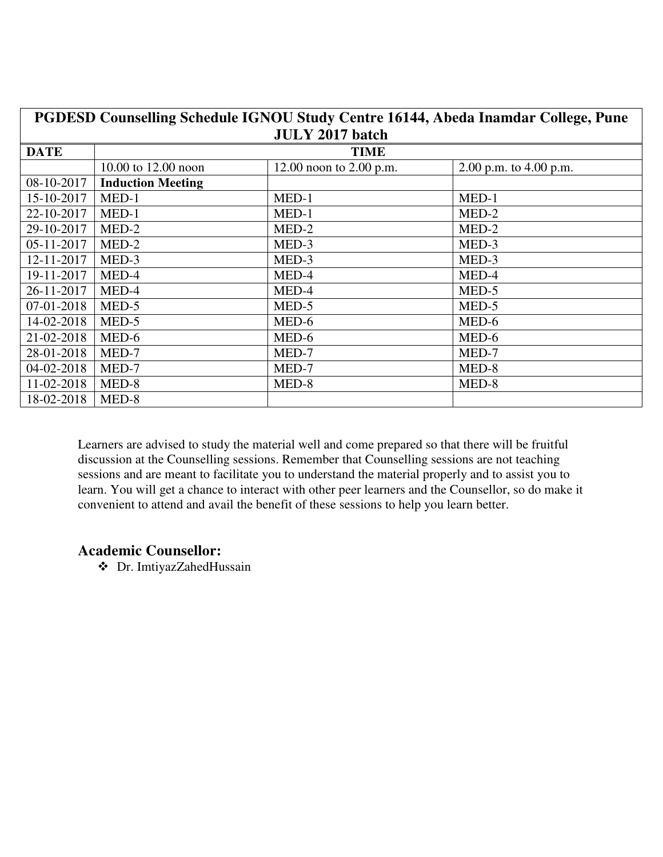| PGDESD Counselling Schedule IGNOU Study Centre 16144, Abeda Inamdar College, Pune |                          |                           |                          |  |  |
|-----------------------------------------------------------------------------------|--------------------------|---------------------------|--------------------------|--|--|
|                                                                                   | <b>JULY 2017 batch</b>   |                           |                          |  |  |
| <b>DATE</b>                                                                       | <b>TIME</b>              |                           |                          |  |  |
|                                                                                   | 10.00 to 12.00 noon      | 12.00 noon to $2.00$ p.m. | 2.00 p.m. to $4.00$ p.m. |  |  |
| 08-10-2017                                                                        | <b>Induction Meeting</b> |                           |                          |  |  |
| 15-10-2017                                                                        | $MED-1$                  | $MED-1$                   | MED-1                    |  |  |
| 22-10-2017                                                                        | $MED-1$                  | MED-1                     | MED-2                    |  |  |
| 29-10-2017                                                                        | MED-2                    | MED-2                     | MED-2                    |  |  |
| 05-11-2017                                                                        | MED-2                    | MED-3                     | MED-3                    |  |  |
| 12-11-2017                                                                        | MED-3                    | MED-3                     | MED-3                    |  |  |
| 19-11-2017                                                                        | MED-4                    | MED-4                     | MED-4                    |  |  |
| 26-11-2017                                                                        | MED-4                    | MED-4                     | MED-5                    |  |  |
| 07-01-2018                                                                        | MED-5                    | MED-5                     | MED-5                    |  |  |
| 14-02-2018                                                                        | MED-5                    | MED-6                     | MED-6                    |  |  |
| 21-02-2018                                                                        | MED-6                    | MED-6                     | MED-6                    |  |  |
| 28-01-2018                                                                        | MED-7                    | MED-7                     | MED-7                    |  |  |
| 04-02-2018                                                                        | MED-7                    | MED-7                     | MED-8                    |  |  |
| 11-02-2018                                                                        | MED-8                    | MED-8                     | MED-8                    |  |  |
| 18-02-2018                                                                        | MED-8                    |                           |                          |  |  |

## **Academic Counsellor:**

Dr. ImtiyazZahedHussain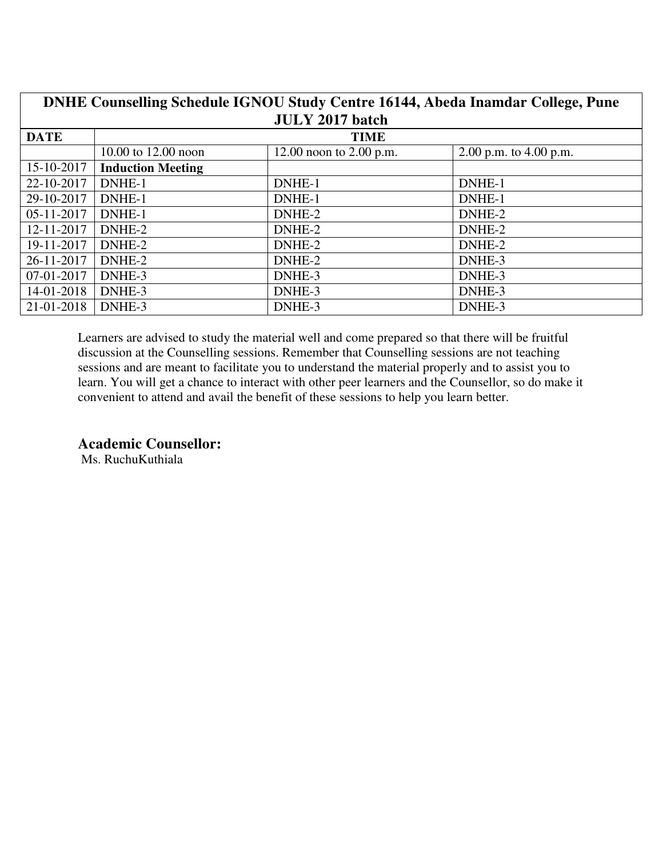| DNHE Counselling Schedule IGNOU Study Centre 16144, Abeda Inamdar College, Pune |                          |                           |                          |  |
|---------------------------------------------------------------------------------|--------------------------|---------------------------|--------------------------|--|
|                                                                                 |                          | <b>JULY 2017 batch</b>    |                          |  |
| <b>DATE</b>                                                                     |                          | <b>TIME</b>               |                          |  |
|                                                                                 | 10.00 to 12.00 noon      | 12.00 noon to $2.00$ p.m. | 2.00 p.m. to $4.00$ p.m. |  |
| 15-10-2017                                                                      | <b>Induction Meeting</b> |                           |                          |  |
| 22-10-2017                                                                      | DNHE-1                   | DNHE-1                    | DNHE-1                   |  |
| 29-10-2017                                                                      | DNHE-1                   | DNHE-1                    | DNHE-1                   |  |
| 05-11-2017                                                                      | DNHE-1                   | DNHE-2                    | DNHE-2                   |  |
| 12-11-2017                                                                      | DNHE-2                   | DNHE-2                    | DNHE-2                   |  |
| 19-11-2017                                                                      | DNHE-2                   | DNHE-2                    | DNHE-2                   |  |
| 26-11-2017                                                                      | DNHE-2                   | DNHE-2                    | DNHE-3                   |  |
| 07-01-2017                                                                      | DNHE-3                   | DNHE-3                    | DNHE-3                   |  |
| 14-01-2018                                                                      | DNHE-3                   | DNHE-3                    | DNHE-3                   |  |
| 21-01-2018                                                                      | DNHE-3                   | DNHE-3                    | DNHE-3                   |  |

**Academic Counsellor:** 

Ms. RuchuKuthiala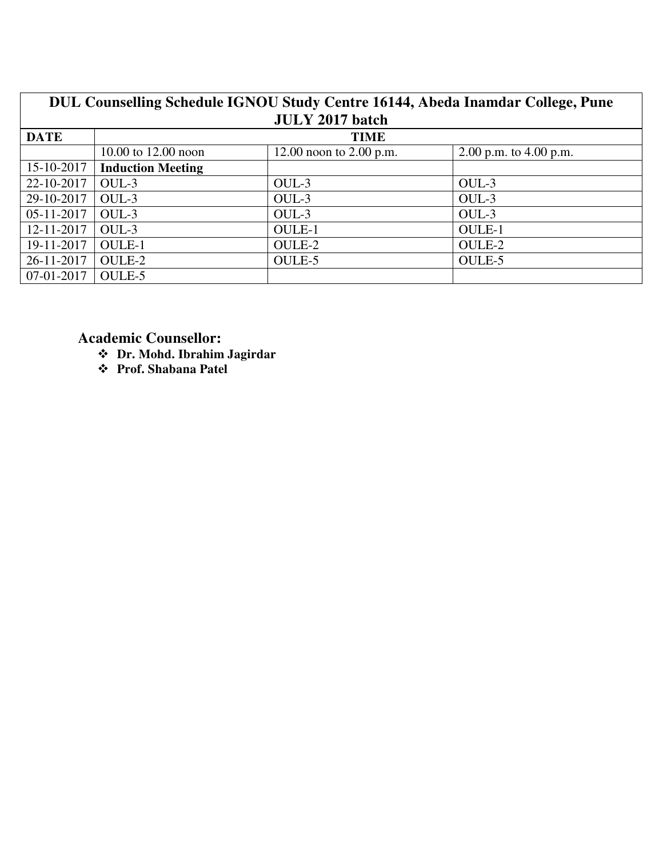| DUL Counselling Schedule IGNOU Study Centre 16144, Abeda Inamdar College, Pune |                          |                           |                          |  |
|--------------------------------------------------------------------------------|--------------------------|---------------------------|--------------------------|--|
|                                                                                |                          | <b>JULY 2017 batch</b>    |                          |  |
| <b>DATE</b>                                                                    | <b>TIME</b>              |                           |                          |  |
|                                                                                | 10.00 to 12.00 noon      | 12.00 noon to $2.00$ p.m. | 2.00 p.m. to $4.00$ p.m. |  |
| 15-10-2017                                                                     | <b>Induction Meeting</b> |                           |                          |  |
| 22-10-2017                                                                     | OUL-3                    | OUL-3                     | OUL-3                    |  |
| 29-10-2017                                                                     | $OUL-3$                  | OUL-3                     | OUL-3                    |  |
| 05-11-2017                                                                     | $OUL-3$                  | OUL-3                     | OUL-3                    |  |
| 12-11-2017                                                                     | OUL-3                    | <b>OULE-1</b>             | <b>OULE-1</b>            |  |
| 19-11-2017                                                                     | <b>OULE-1</b>            | OULE-2                    | OULE-2                   |  |
| 26-11-2017                                                                     | OULE-2                   | OULE-5                    | OULE-5                   |  |
| 07-01-2017                                                                     | OULE-5                   |                           |                          |  |

**Academic Counsellor:** 

- **Dr. Mohd. Ibrahim Jagirdar**
- **Prof. Shabana Patel**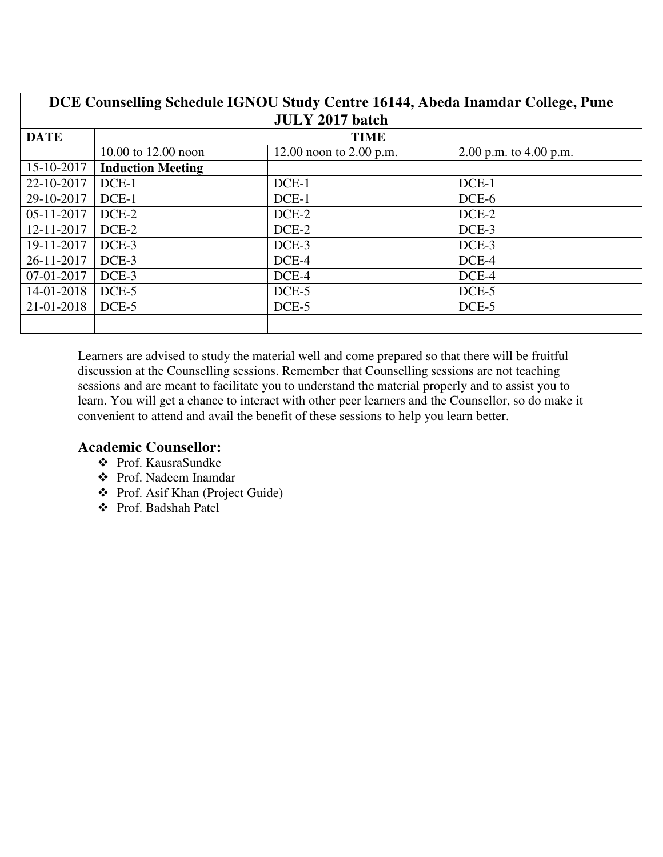| DCE Counselling Schedule IGNOU Study Centre 16144, Abeda Inamdar College, Pune<br><b>JULY 2017 batch</b> |                          |                           |                          |
|----------------------------------------------------------------------------------------------------------|--------------------------|---------------------------|--------------------------|
| <b>DATE</b>                                                                                              | <b>TIME</b>              |                           |                          |
|                                                                                                          | 10.00 to 12.00 noon      | 12.00 noon to $2.00$ p.m. | 2.00 p.m. to $4.00$ p.m. |
| 15-10-2017                                                                                               | <b>Induction Meeting</b> |                           |                          |
| 22-10-2017                                                                                               | DCE-1                    | $DCE-1$                   | DCE-1                    |
| 29-10-2017                                                                                               | DCE-1                    | $DCE-1$                   | DCE-6                    |
| 05-11-2017                                                                                               | DCE-2                    | $DCE-2$                   | DCE-2                    |
| 12-11-2017                                                                                               | DCE-2                    | $DCE-2$                   | DCE-3                    |
| 19-11-2017                                                                                               | DCE-3                    | DCE-3                     | DCE-3                    |
| 26-11-2017                                                                                               | DCE-3                    | DCE-4                     | DCE-4                    |
| 07-01-2017                                                                                               | DCE-3                    | DCE-4                     | DCE-4                    |
| 14-01-2018                                                                                               | DCE-5                    | $DCE-5$                   | DCE-5                    |
| 21-01-2018                                                                                               | DCE-5                    | $DCE-5$                   | DCE-5                    |
|                                                                                                          |                          |                           |                          |

# **Academic Counsellor:**

- Prof. KausraSundke
- Prof. Nadeem Inamdar
- Prof. Asif Khan (Project Guide)
- Prof. Badshah Patel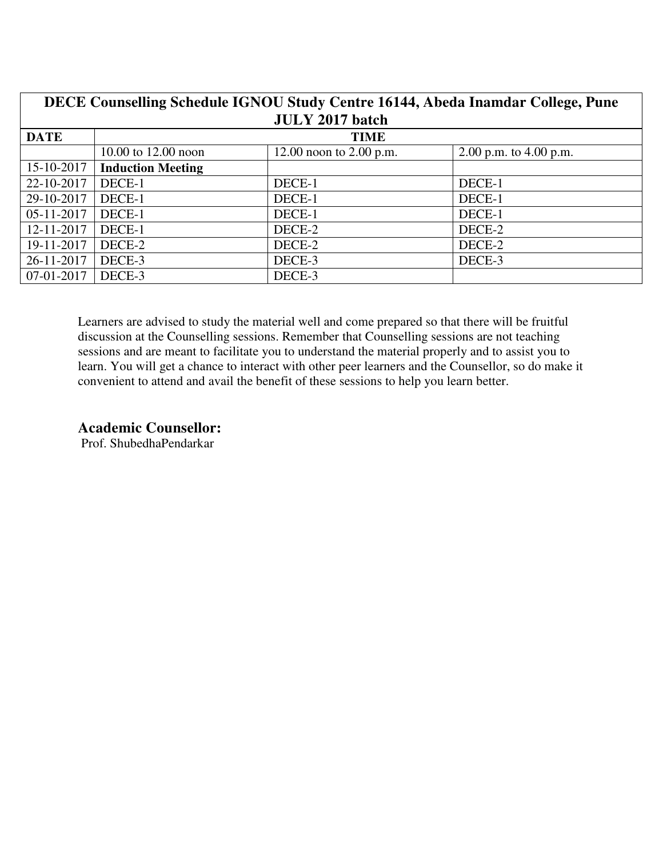| DECE Counselling Schedule IGNOU Study Centre 16144, Abeda Inamdar College, Pune |                          |                           |                          |  |
|---------------------------------------------------------------------------------|--------------------------|---------------------------|--------------------------|--|
|                                                                                 |                          | <b>JULY 2017 batch</b>    |                          |  |
| <b>DATE</b>                                                                     |                          | <b>TIME</b>               |                          |  |
|                                                                                 | 10.00 to $12.00$ noon    | 12.00 noon to $2.00$ p.m. | 2.00 p.m. to $4.00$ p.m. |  |
| 15-10-2017                                                                      | <b>Induction Meeting</b> |                           |                          |  |
| 22-10-2017                                                                      | DECE-1                   | DECE-1                    | DECE-1                   |  |
| 29-10-2017                                                                      | DECE-1                   | DECE-1                    | DECE-1                   |  |
| 05-11-2017                                                                      | DECE-1                   | DECE-1                    | DECE-1                   |  |
| 12-11-2017                                                                      | DECE-1                   | DECE-2                    | DECE-2                   |  |
| 19-11-2017                                                                      | DECE-2                   | DECE-2                    | DECE-2                   |  |
| 26-11-2017                                                                      | DECE-3                   | DECE-3                    | DECE-3                   |  |
| 07-01-2017                                                                      | DECE-3                   | DECE-3                    |                          |  |

### **Academic Counsellor:**

Prof. ShubedhaPendarkar